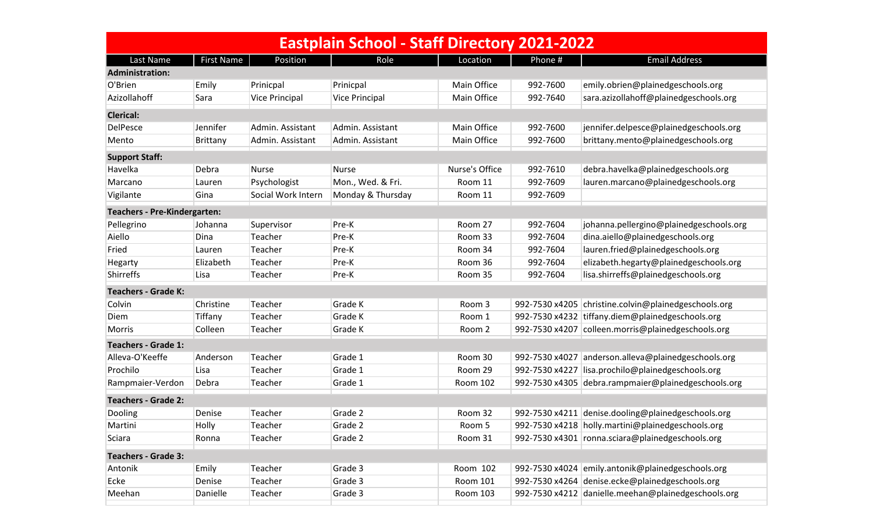| <b>Eastplain School - Staff Directory 2021-2022</b> |                   |                    |                       |                |                |                                                     |  |  |
|-----------------------------------------------------|-------------------|--------------------|-----------------------|----------------|----------------|-----------------------------------------------------|--|--|
| Last Name                                           | <b>First Name</b> | Position           | Role                  | Location       | Phone #        | <b>Email Address</b>                                |  |  |
| <b>Administration:</b>                              |                   |                    |                       |                |                |                                                     |  |  |
| O'Brien                                             | Emily             | Prinicpal          | Prinicpal             | Main Office    | 992-7600       | emily.obrien@plainedgeschools.org                   |  |  |
| Azizollahoff                                        | Sara              | Vice Principal     | <b>Vice Principal</b> | Main Office    | 992-7640       | sara.azizollahoff@plainedgeschools.org              |  |  |
| <b>Clerical:</b>                                    |                   |                    |                       |                |                |                                                     |  |  |
| <b>DelPesce</b>                                     | Jennifer          | Admin. Assistant   | Admin. Assistant      | Main Office    | 992-7600       | jennifer.delpesce@plainedgeschools.org              |  |  |
| Mento                                               | Brittany          | Admin. Assistant   | Admin. Assistant      | Main Office    | 992-7600       | brittany.mento@plainedgeschools.org                 |  |  |
| <b>Support Staff:</b>                               |                   |                    |                       |                |                |                                                     |  |  |
| Havelka                                             | Debra             | <b>Nurse</b>       | <b>Nurse</b>          | Nurse's Office | 992-7610       | debra.havelka@plainedgeschools.org                  |  |  |
| Marcano                                             | Lauren            | Psychologist       | Mon., Wed. & Fri.     | Room 11        | 992-7609       | lauren.marcano@plainedgeschools.org                 |  |  |
| Vigilante                                           | Gina              | Social Work Intern | Monday & Thursday     | Room 11        | 992-7609       |                                                     |  |  |
| <b>Teachers - Pre-Kindergarten:</b>                 |                   |                    |                       |                |                |                                                     |  |  |
| Pellegrino                                          | Johanna           | Supervisor         | Pre-K                 | Room 27        | 992-7604       | johanna.pellergino@plainedgeschools.org             |  |  |
| Aiello                                              | Dina              | Teacher            | Pre-K                 | Room 33        | 992-7604       | dina.aiello@plainedgeschools.org                    |  |  |
| Fried                                               | Lauren            | Teacher            | Pre-K                 | Room 34        | 992-7604       | lauren.fried@plainedgeschools.org                   |  |  |
| Hegarty                                             | Elizabeth         | Teacher            | Pre-K                 | Room 36        | 992-7604       | elizabeth.hegarty@plainedgeschools.org              |  |  |
| Shirreffs                                           | Lisa              | Teacher            | Pre-K                 | Room 35        | 992-7604       | lisa.shirreffs@plainedgeschools.org                 |  |  |
| <b>Teachers - Grade K:</b>                          |                   |                    |                       |                |                |                                                     |  |  |
| Colvin                                              | Christine         | Teacher            | Grade K               | Room 3         | 992-7530 x4205 | christine.colvin@plainedgeschools.org               |  |  |
| Diem                                                | Tiffany           | Teacher            | Grade K               | Room 1         |                | 992-7530 x4232 tiffany.diem@plainedgeschools.org    |  |  |
| Morris                                              | Colleen           | Teacher            | Grade K               | Room 2         |                | 992-7530 x4207 colleen.morris@plainedgeschools.org  |  |  |
| <b>Teachers - Grade 1:</b>                          |                   |                    |                       |                |                |                                                     |  |  |
| Alleva-O'Keeffe                                     | Anderson          | Teacher            | Grade 1               | Room 30        | 992-7530 x4027 | anderson.alleva@plainedgeschools.org                |  |  |
| Prochilo                                            | Lisa              | Teacher            | Grade 1               | Room 29        | 992-7530 x4227 | lisa.prochilo@plainedgeschools.org                  |  |  |
| Rampmaier-Verdon                                    | Debra             | Teacher            | Grade 1               | Room 102       |                | 992-7530 x4305 debra.rampmaier@plainedgeschools.org |  |  |
| <b>Teachers - Grade 2:</b>                          |                   |                    |                       |                |                |                                                     |  |  |
| Dooling                                             | Denise            | Teacher            | Grade 2               | Room 32        |                | 992-7530 x4211 denise.dooling@plainedgeschools.org  |  |  |
| Martini                                             | Holly             | Teacher            | Grade 2               | Room 5         |                | 992-7530 x4218 holly.martini@plainedgeschools.org   |  |  |
| Sciara                                              | Ronna             | Teacher            | Grade 2               | Room 31        |                | 992-7530 x4301   ronna.sciara@plainedgeschools.org  |  |  |
| <b>Teachers - Grade 3:</b>                          |                   |                    |                       |                |                |                                                     |  |  |
| Antonik                                             | Emily             | Teacher            | Grade 3               | Room 102       |                | 992-7530 x4024 emily.antonik@plainedgeschools.org   |  |  |
| Ecke                                                | Denise            | Teacher            | Grade 3               | Room 101       |                | 992-7530 x4264 denise.ecke@plainedgeschools.org     |  |  |
| Meehan                                              | Danielle          | Teacher            | Grade 3               | Room 103       |                | 992-7530 x4212 danielle.meehan@plainedgeschools.org |  |  |
|                                                     |                   |                    |                       |                |                |                                                     |  |  |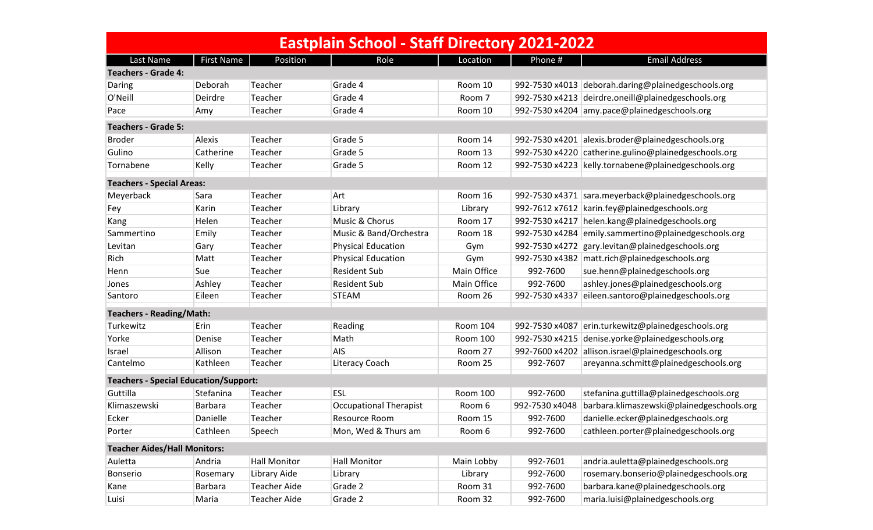| <b>Eastplain School - Staff Directory 2021-2022</b> |            |                     |                               |                 |                |                                                      |  |  |
|-----------------------------------------------------|------------|---------------------|-------------------------------|-----------------|----------------|------------------------------------------------------|--|--|
| Last Name                                           | First Name | Position            | Role                          | Location        | Phone #        | <b>Email Address</b>                                 |  |  |
| <b>Teachers - Grade 4:</b>                          |            |                     |                               |                 |                |                                                      |  |  |
| Daring                                              | Deborah    | Teacher             | Grade 4                       | Room 10         |                | 992-7530 x4013 deborah.daring@plainedgeschools.org   |  |  |
| O'Neill                                             | Deirdre    | Teacher             | Grade 4                       | Room 7          |                | 992-7530 x4213 deirdre.oneill@plainedgeschools.org   |  |  |
| Pace                                                | Amy        | Teacher             | Grade 4                       | Room 10         |                | 992-7530 x4204 amy.pace@plainedgeschools.org         |  |  |
| <b>Teachers - Grade 5:</b>                          |            |                     |                               |                 |                |                                                      |  |  |
| <b>Broder</b>                                       | Alexis     | Teacher             | Grade 5                       | Room 14         |                | 992-7530 x4201 alexis.broder@plainedgeschools.org    |  |  |
| Gulino                                              | Catherine  | Teacher             | Grade 5                       | Room 13         |                | 992-7530 x4220 catherine.gulino@plainedgeschools.org |  |  |
| Tornabene                                           | Kelly      | Teacher             | Grade 5                       | Room 12         |                | 992-7530 x4223 kelly.tornabene@plainedgeschools.org  |  |  |
| <b>Teachers - Special Areas:</b>                    |            |                     |                               |                 |                |                                                      |  |  |
| Meyerback                                           | Sara       | Teacher             | Art                           | Room 16         |                | 992-7530 x4371 sara.meyerback@plainedgeschools.org   |  |  |
| Fey                                                 | Karin      | Teacher             | Library                       | Library         |                | 992-7612 x7612   karin.fey@plainedgeschools.org      |  |  |
| Kang                                                | Helen      | Teacher             | Music & Chorus                | Room 17         |                | 992-7530 x4217 helen.kang@plainedgeschools.org       |  |  |
| Sammertino                                          | Emily      | Teacher             | Music & Band/Orchestra        | Room 18         |                | 992-7530 x4284 emily.sammertino@plainedgeschools.org |  |  |
| Levitan                                             | Gary       | Teacher             | <b>Physical Education</b>     | Gym             |                | 992-7530 x4272 gary.levitan@plainedgeschools.org     |  |  |
| Rich                                                | Matt       | Teacher             | <b>Physical Education</b>     | Gym             |                | 992-7530 x4382 matt.rich@plainedgeschools.org        |  |  |
| Henn                                                | Sue        | Teacher             | <b>Resident Sub</b>           | Main Office     | 992-7600       | sue.henn@plainedgeschools.org                        |  |  |
| Jones                                               | Ashley     | Teacher             | <b>Resident Sub</b>           | Main Office     | 992-7600       | ashley.jones@plainedgeschools.org                    |  |  |
| Santoro                                             | Eileen     | Teacher             | <b>STEAM</b>                  | Room 26         | 992-7530 x4337 | eileen.santoro@plainedgeschools.org                  |  |  |
| <b>Teachers - Reading/Math:</b>                     |            |                     |                               |                 |                |                                                      |  |  |
| Turkewitz                                           | Erin       | Teacher             | Reading                       | <b>Room 104</b> | 992-7530 x4087 | erin.turkewitz@plainedgeschools.org                  |  |  |
| Yorke                                               | Denise     | Teacher             | Math                          | <b>Room 100</b> |                | 992-7530 x4215 denise.yorke@plainedgeschools.org     |  |  |
| Israel                                              | Allison    | Teacher             | AIS                           | Room 27         | 992-7600 x4202 | allison.israel@plainedgeschools.org                  |  |  |
| Cantelmo                                            | Kathleen   | Teacher             | Literacy Coach                | Room 25         | 992-7607       | areyanna.schmitt@plainedgeschools.org                |  |  |
| <b>Teachers - Special Education/Support:</b>        |            |                     |                               |                 |                |                                                      |  |  |
| Guttilla                                            | Stefanina  | Teacher             | <b>ESL</b>                    | <b>Room 100</b> | 992-7600       | stefanina.guttilla@plainedgeschools.org              |  |  |
| Klimaszewski                                        | Barbara    | Teacher             | <b>Occupational Therapist</b> | Room 6          | 992-7530 x4048 | barbara.klimaszewski@plainedgeschools.org            |  |  |
| Ecker                                               | Danielle   | Teacher             | Resource Room                 | Room 15         | 992-7600       | danielle.ecker@plainedgeschools.org                  |  |  |
| Porter                                              | Cathleen   | Speech              | Mon, Wed & Thurs am           | Room 6          | 992-7600       | cathleen.porter@plainedgeschools.org                 |  |  |
| <b>Teacher Aides/Hall Monitors:</b>                 |            |                     |                               |                 |                |                                                      |  |  |
| Auletta                                             | Andria     | <b>Hall Monitor</b> | <b>Hall Monitor</b>           | Main Lobby      | 992-7601       | andria.auletta@plainedgeschools.org                  |  |  |
| Bonserio                                            | Rosemary   | Library Aide        | Library                       | Library         | 992-7600       | rosemary.bonserio@plainedgeschools.org               |  |  |
| Kane                                                | Barbara    | <b>Teacher Aide</b> | Grade 2                       | Room 31         | 992-7600       | barbara.kane@plainedgeschools.org                    |  |  |
| Luisi                                               | Maria      | <b>Teacher Aide</b> | Grade 2                       | Room 32         | 992-7600       | maria.luisi@plainedgeschools.org                     |  |  |